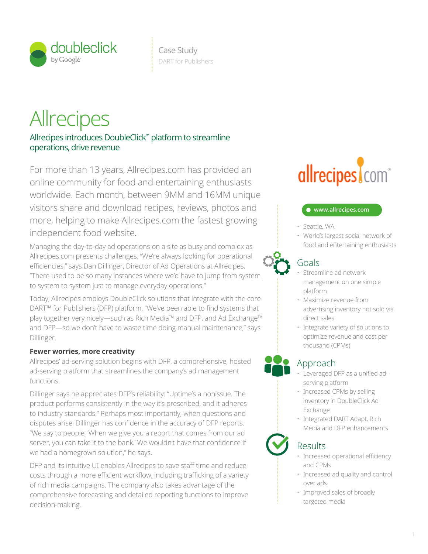

## **Allrecipes**

Allrecipes introduces DoubleClick™ platform to streamline operations, drive revenue

visitors share and download recipes, reviews, photos and **Communisties** online community for food and entertaining enthusiasts **The Mill CCIPC** For more than 13 years, Allrecipes.com has provided an worldwide. Each month, between 9MM and 16MM unique more, helping to make Allrecipes.com the fastest growing independent food website.

> where flow efficiency reporting and analytics optimization and analytics optimization  $\mathcal{A}$ Allrecipes.com presents challenges. "We're always looking for operational  $\mathbf{Q}_\bullet$ Managing the day-to-day ad operations on a site as busy and complex as efficiencies," says Dan Dillinger, Director of Ad Operations at Allrecipes. "There used to be so many instances where we'd have to jump from system to system to system just to manage everyday operations."

Today, Allrecipes employs DoubleClick solutions that integrate with the core DART™ for Publishers (DFP) platform. "We've been able to find systems that play together very nicely—such as Rich Media™ and DFP, and Ad Exchange™ and DFP—so we don't have to waste time doing manual maintenance," says Dillinger.

### **Fewer worries, more creativity**

Allrecipes' ad-serving solution begins with DFP, a comprehensive, hosted ad-serving platform that streamlines the company's ad management functions.

Dillinger says he appreciates DFP's reliability: "Uptime's a nonissue. The state of the control search cross channel of the shopping control search cross channel of the shopping control of the shopping control search cross product performs consistently in the way it's prescribed, and it adheres to industry standards." Perhaps most importantly, when questions and disputes arise, Dillinger has confidence in the accuracy of DFP reports. "We say to people, 'When we give you a report that comes from our ad server, you can take it to the bank.' We wouldn't have that confidence if we had a homegrown solution," he says.

DFP and its intuitive UI enables Allrecipes to save staff time and reduce costs through a more efficient workflow, including trafficking of a variety of rich media campaigns. The company also takes advantage of the comprehensive forecasting and detailed reporting functions to improve decision-making.

# conversions above the fold above the fold search management

#### **www.allrecipes.com**

- Seattle, WA
- $\vdots$   $\cdot$  World's largest social network of food and entertaining enthusiasts

## Goals

- Streamline ad network management on one simple platform
- Maximize revenue from  $\vdots$  advertising inventory not sold via direct sales
	- Integrate variety of solutions to optimize revenue and cost per thousand (CPMs)

## Approach

- Leveraged DFP as a unified ad- $\frac{1}{2}$  serving platform
	- Increased CPMs by selling inventory in DoubleClick Ad Exchange
	- Integrated DART Adapt, Rich Media and DFP enhancements

## Results

verification

- $\cdot$  Increased operational efficiency and CPMs work flow efficiency reporting and analytics optimization  $\mathbf{r}_i$ 
	- Increased ad quality and control over ads
	- Improved sales of broadly targeted media